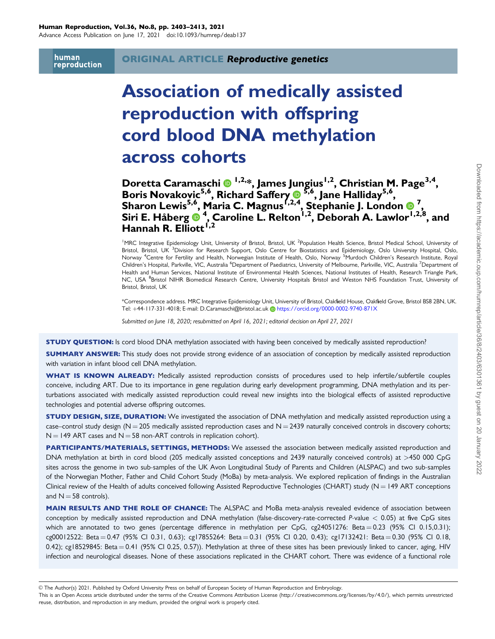Advance Access Publication on June 17, 2021 doi:10.1093/humrep/deab137

human reproduction

# Association of medically assisted reproduction with offspring cord blood DNA methylation across cohorts

Doretta Caramaschi 1,<sup>2,\*</sup>, James Jungius<sup>1,2</sup>, Christian M. Page<sup>3,4</sup>, Boris Novakovic<sup>5,6</sup>, Richard Saffery <sup>6,5,6</sup>, Jane Halliday<sup>5,6</sup>, Sharon Lewis<sup>5,6</sup>, Maria C. Magnus<sup>1,2,4</sup>, Stephanie J. London **O** <sup>7</sup>, Siri E. Håberg  $\overset{\bullet}{\bm{\Theta}}$ <sup>4</sup>, Caroline L. Relton<sup>1,2</sup>, Deborah A. Lawlor<sup>1,2,8</sup>, and Hannah R. Elliott<sup> í,2</sup>

<sup>1</sup> MRC Integrative Epidemiology Unit, University of Bristol, Bristol, UK<sup>2</sup> Population Health Science, Bristol Medical School, University of Bristol, Bristol, UK <sup>3</sup>Division for Research Support, Oslo Centre for Biostatistics and Epidemiology, Oslo University Hospital, Oslo, Norway <sup>4</sup>Centre for Fertility and Health, Norwegian Institute of Health, Oslo, Norway <sup>5</sup>Murdoch Children's Research Institute, Royal Children's Hospital, Parkville, VIC, Australia <sup>6</sup>Department of Paediatrics, University of Melbourne, Parkville, VIC, Australia <sup>7</sup>Department of Health and Human Services, National Institute of Environmental Health Sciences, National Institutes of Health, Research Triangle Park, NC, USA <sup>8</sup>Bristol NIHR Biomedical Research Centre, University Hospitals Bristol and Weston NHS Foundation Trust, University of Bristol, Bristol, UK

\*Correspondence address. MRC Integrative Epidemiology Unit, University of Bristol, Oakfield House, Oakfield Grove, Bristol BS8 2BN, UK. Tel: +44-117-331-4018; E-mail: D.Caramaschi@bristol.ac.uk [<https://orcid.org/0000-0002-9740-871X>

Submitted on June 18, 2020; resubmitted on April 16, 2021; editorial decision on April 27, 2021

STUDY QUESTION: Is cord blood DNA methylation associated with having been conceived by medically assisted reproduction?

**SUMMARY ANSWER:** This study does not provide strong evidence of an association of conception by medically assisted reproduction with variation in infant blood cell DNA methylation.

WHAT IS KNOWN ALREADY: Medically assisted reproduction consists of procedures used to help infertile/subfertile couples conceive, including ART. Due to its importance in gene regulation during early development programming, DNA methylation and its perturbations associated with medically assisted reproduction could reveal new insights into the biological effects of assisted reproductive technologies and potential adverse offspring outcomes.

STUDY DESIGN, SIZE, DURATION: We investigated the association of DNA methylation and medically assisted reproduction using a case–control study design ( $N = 205$  medically assisted reproduction cases and  $N = 2439$  naturally conceived controls in discovery cohorts;  $N = 149$  ART cases and  $N = 58$  non-ART controls in replication cohort).

PARTICIPANTS/MATERIALS, SETTINGS, METHODS: We assessed the association between medically assisted reproduction and DNA methylation at birth in cord blood (205 medically assisted conceptions and 2439 naturally conceived controls) at >450 000 CpG sites across the genome in two sub-samples of the UK Avon Longitudinal Study of Parents and Children (ALSPAC) and two sub-samples of the Norwegian Mother, Father and Child Cohort Study (MoBa) by meta-analysis. We explored replication of findings in the Australian Clinical review of the Health of adults conceived following Assisted Reproductive Technologies (CHART) study ( $N = 149$  ART conceptions and  $N = 58$  controls).

MAIN RESULTS AND THE ROLE OF CHANCE: The ALSPAC and MoBa meta-analysis revealed evidence of association between conception by medically assisted reproduction and DNA methylation (false-discovery-rate-corrected P-value  $<$  0.05) at five CpG sites which are annotated to two genes (percentage difference in methylation per CpG, cg24051276: Beta = 0.23 (95% CI 0.15,0.31); cg00012522: Beta = 0.47 (95% CI 0.31, 0.63); cg17855264: Beta = 0.31 (95% CI 0.20, 0.43); cg17132421: Beta = 0.30 (95% CI 0.18,  $0.42$ ); cg18529845: Beta = 0.41 (95% CI 0.25, 0.57)). Methylation at three of these sites has been previously linked to cancer, aging, HIV infection and neurological diseases. None of these associations replicated in the CHART cohort. There was evidence of a functional role

V<sup>C</sup> The Author(s) 2021. Published by Oxford University Press on behalf of European Society of Human Reproduction and Embryology.

This is an Open Access article distributed under the terms of the Creative Commons Attribution License (http://creativecommons.org/licenses/by/4.0/), which permits unrestricted reuse, distribution, and reproduction in any medium, provided the original work is properly cited.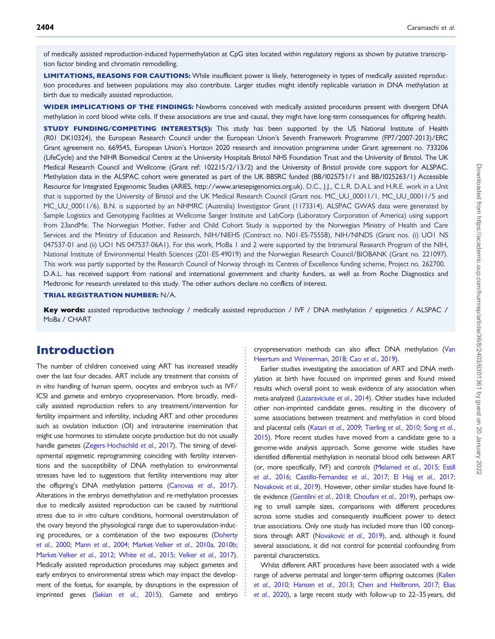of medically assisted reproduction-induced hypermethylation at CpG sites located within regulatory regions as shown by putative transcription factor binding and chromatin remodelling.

LIMITATIONS, REASONS FOR CAUTIONS: While insufficient power is likely, heterogeneity in types of medically assisted reproduction procedures and between populations may also contribute. Larger studies might identify replicable variation in DNA methylation at birth due to medically assisted reproduction.

WIDER IMPLICATIONS OF THE FINDINGS: Newborns conceived with medically assisted procedures present with divergent DNA methylation in cord blood white cells. If these associations are true and causal, they might have long-term consequences for offspring health.

**STUDY FUNDING/COMPETING INTERESTS(S):** This study has been supported by the US National Institute of Health (R01 DK10324), the European Research Council under the European Union's Seventh Framework Programme (FP7/2007-2013)/ERC Grant agreement no. 669545, European Union's Horizon 2020 research and innovation programme under Grant agreement no. 733206 (LifeCycle) and the NIHR Biomedical Centre at the University Hospitals Bristol NHS Foundation Trust and the University of Bristol. The UK Medical Research Council and Wellcome (Grant ref: 102215/2/13/2) and the University of Bristol provide core support for ALSPAC. Methylation data in the ALSPAC cohort were generated as part of the UK BBSRC funded (BB/I025751/1 and BB/I025263/1) Accessible Resource for Integrated Epigenomic Studies (ARIES, [http://www.ariesepigenomics.org.uk\)](http://www.ariesepigenomics.org.uk). D.C., J.J., C.L.R. D.A.L and H.R.E. work in a Unit that is supported by the University of Bristol and the UK Medical Research Council (Grant nos. MC\_UU\_00011/1, MC\_UU\_00011/5 and MC\_UU\_00011/6). B.N. is supported by an NHMRC (Australia) Investigator Grant (1173314). ALSPAC GWAS data were generated by Sample Logistics and Genotyping Facilities at Wellcome Sanger Institute and LabCorp (Laboratory Corporation of America) using support from 23andMe. The Norwegian Mother, Father and Child Cohort Study is supported by the Norwegian Ministry of Health and Care Services and the Ministry of Education and Research, NIH/NIEHS (Contract no. N01-ES-75558), NIH/NINDS (Grant nos. (i) UO1 NS 047537-01 and (ii) UO1 NS 047537-06A1). For this work, MoBa 1 and 2 were supported by the Intramural Research Program of the NIH, National Institute of Environmental Health Sciences (Z01-ES-49019) and the Norwegian Research Council/BIOBANK (Grant no. 221097). This work was partly supported by the Research Council of Norway through its Centres of Excellence funding scheme, Project no. 262700. D.A.L. has received support from national and international government and charity funders, as well as from Roche Diagnostics and Medtronic for research unrelated to this study. The other authors declare no conflicts of interest.

#### TRIAL REGISTRATION NUMBER: N/A.

Key words: assisted reproductive technology / medically assisted reproduction / IVF / DNA methylation / epigenetics / ALSPAC / MoBa / CHART

> . . . . . . . . . . . . . . . . . . . . . . . . . . . . . . . . . . . . . . . . . . . . . . . . . . . . . . . . . . . . . . . . . . . . . . . . . . . . . . .

### Introduction

The number of children conceived using ART has increased steadily over the last four decades. ART include any treatment that consists of in vitro handling of human sperm, oocytes and embryos such as IVF/ ICSI and gamete and embryo cryopreservation. More broadly, medically assisted reproduction refers to any treatment/intervention for fertility impairment and infertility, including ART and other procedures such as ovulation induction (OI) and intrauterine insemination that might use hormones to stimulate oocyte production but do not usually handle gametes ([Zegers-Hochschild](#page-10-0) et al., 2017). The timing of developmental epigenetic reprogramming coinciding with fertility interventions and the susceptibility of DNA methylation to environmental stresses have led to suggestions that fertility interventions may alter the offspring's DNA methylation patterns ([Canovas](#page-8-0) et al., 2017). Alterations in the embryo demethylation and re-methylation processes due to medically assisted reproduction can be caused by nutritional stress due to in vitro culture conditions, hormonal overstimulation of the ovary beyond the physiological range due to superovulation-inducing procedures, or a combination of the two exposures [\(Doherty](#page-9-0) et al.[, 2000;](#page-9-0) Mann et al.[, 2004](#page-9-0); [Market-Velker](#page-9-0) et al., 2010a, [2010b](#page-10-0); [Market-Velker](#page-10-0) et al., 2012; White et al.[, 2015](#page-10-0); Velker et al.[, 2017\)](#page-10-0). Medically assisted reproduction procedures may subject gametes and early embryos to environmental stress which may impact the development of the foetus, for example, by disruptions in the expression of imprinted genes (Sakian et al.[, 2015](#page-10-0)). Gamete and embryo

cryopreservation methods can also affect DNA methylation [\(Van](#page-10-0) [Heertum and Weinerman, 2018](#page-10-0); Cao et al.[, 2019](#page-9-0)).

Earlier studies investigating the association of ART and DNA methylation at birth have focused on imprinted genes and found mixed results which overall point to weak evidence of any association when meta-analyzed [\(Lazaraviciute](#page-9-0) et al., 2014). Other studies have included other non-imprinted candidate genes, resulting in the discovery of some associations between treatment and methylation in cord blood and placental cells (Katari et al.[, 2009;](#page-9-0) [Tierling](#page-10-0) [et al.](#page-10-0), 2010; Song et al., [2015](#page-10-0)). More recent studies have moved from a candidate gene to a genome-wide analysis approach. Some genome wide studies have identified differential methylation in neonatal blood cells between ART (or, more specifically, IVF) and controls [\(Melamed](#page-10-0) et al., 2015; [Estill](#page-9-0) et al.[, 2016;](#page-9-0) [Castillo-Fernandez](#page-9-0) et al., 2017; El Hajj et al.[, 2017;](#page-9-0) [Novakovic](#page-10-0) et al., 2019). However, other similar studies have found lit-tle evidence [\(Gentilini](#page-9-0) et al., 2018; [Choufani](#page-9-0) et al., 2019), perhaps owing to small sample sizes, comparisons with different procedures across some studies and consequently insufficient power to detect true associations. Only one study has included more than 100 concep-tions through ART [\(Novakovic](#page-10-0) et al., 2019), and, although it found several associations, it did not control for potential confounding from parental characteristics.

Whilst different ART procedures have been associated with a wide range of adverse perinatal and longer-term offspring outcomes [\(Kallen](#page-9-0) et al.[, 2010](#page-9-0); [Hansen](#page-9-0) et al., 2013; [Chen and Heilbronn, 2017;](#page-9-0) [Elias](#page-9-0) et al.[, 2020](#page-9-0)), a large recent study with follow-up to 22–35 years, did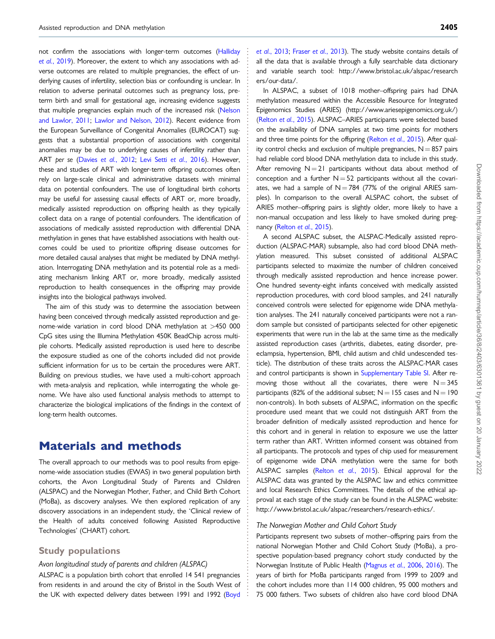. not confirm the associations with longer-term outcomes [\(Halliday](#page-9-0) et al.[, 2019\)](#page-9-0). Moreover, the extent to which any associations with adverse outcomes are related to multiple pregnancies, the effect of underlying causes of infertility, selection bias or confounding is unclear. In relation to adverse perinatal outcomes such as pregnancy loss, preterm birth and small for gestational age, increasing evidence suggests that multiple pregnancies explain much of the increased risk [\(Nelson](#page-10-0) [and Lawlor, 2011;](#page-10-0) [Lawlor and Nelson, 2012\)](#page-9-0). Recent evidence from the European Surveillance of Congenital Anomalies (EUROCAT) suggests that a substantial proportion of associations with congenital anomalies may be due to underlying causes of infertility rather than ART per se (Davies et al.[, 2012](#page-9-0); [Levi Setti](#page-9-0) et al., 2016). However, these and studies of ART with longer-term offspring outcomes often rely on large-scale clinical and administrative datasets with minimal data on potential confounders. The use of longitudinal birth cohorts may be useful for assessing causal effects of ART or, more broadly, medically assisted reproduction on offspring health as they typically collect data on a range of potential confounders. The identification of associations of medically assisted reproduction with differential DNA methylation in genes that have established associations with health outcomes could be used to prioritize offspring disease outcomes for more detailed causal analyses that might be mediated by DNA methylation. Interrogating DNA methylation and its potential role as a mediating mechanism linking ART or, more broadly, medically assisted reproduction to health consequences in the offspring may provide insights into the biological pathways involved.

The aim of this study was to determine the association between having been conceived through medically assisted reproduction and genome-wide variation in cord blood DNA methylation at >450 000 CpG sites using the Illumina Methylation 450K BeadChip across multiple cohorts. Medically assisted reproduction is used here to describe the exposure studied as one of the cohorts included did not provide sufficient information for us to be certain the procedures were ART. Building on previous studies, we have used a multi-cohort approach with meta-analysis and replication, while interrogating the whole genome. We have also used functional analysis methods to attempt to characterize the biological implications of the findings in the context of long-term health outcomes.

### Materials and methods

The overall approach to our methods was to pool results from epigenome-wide association studies (EWAS) in two general population birth cohorts, the Avon Longitudinal Study of Parents and Children (ALSPAC) and the Norwegian Mother, Father, and Child Birth Cohort (MoBa), as discovery analyses. We then explored replication of any discovery associations in an independent study, the 'Clinical review of the Health of adults conceived following Assisted Reproductive Technologies' (CHART) cohort.

#### Study populations

#### Avon longitudinal study of parents and children (ALSPAC)

ALSPAC is a population birth cohort that enrolled 14 541 pregnancies from residents in and around the city of Bristol in the South West of the UK with expected delivery dates between 1991 and 1992 ([Boyd](#page-8-0) et al.[, 2013](#page-8-0); Fraser et al.[, 2013\)](#page-9-0). The study website contains details of all the data that is available through a fully searchable data dictionary and variable search tool: [http://www.bristol.ac.uk/alspac/research](http://www.bristol.ac.uk/alspac/researchers/our-data/) [ers/our-data/.](http://www.bristol.ac.uk/alspac/researchers/our-data/)

In ALSPAC, a subset of 1018 mother–offspring pairs had DNA methylation measured within the Accessible Resource for Integrated Epigenomics Studies (ARIES) (<http://www.ariesepigenomics.org.uk/>) [\(Relton](#page-10-0) et al., 2015). ALSPAC–ARIES participants were selected based on the availability of DNA samples at two time points for mothers and three time points for the offspring [\(Relton](#page-10-0) et al., 2015). After quality control checks and exclusion of multiple pregnancies,  $N = 857$  pairs had reliable cord blood DNA methylation data to include in this study. After removing  $N = 21$  participants without data about method of conception and a further  $N = 52$  participants without all the covariates, we had a sample of  $N = 784$  (77% of the original ARIES samples). In comparison to the overall ALSPAC cohort, the subset of ARIES mother–offspring pairs is slightly older, more likely to have a non-manual occupation and less likely to have smoked during pregnancy (Relton et al.[, 2015\)](#page-10-0).

A second ALSPAC subset, the ALSPAC-Medically assisted reproduction (ALSPAC-MAR) subsample, also had cord blood DNA methylation measured. This subset consisted of additional ALSPAC participants selected to maximize the number of children conceived through medically assisted reproduction and hence increase power. One hundred seventy-eight infants conceived with medically assisted reproduction procedures, with cord blood samples, and 241 naturally conceived controls were selected for epigenome wide DNA methylation analyses. The 241 naturally conceived participants were not a random sample but consisted of participants selected for other epigenetic experiments that were run in the lab at the same time as the medically assisted reproduction cases (arthritis, diabetes, eating disorder, preeclampsia, hypertension, BMI, child autism and child undescended testicle). The distribution of these traits across the ALSPAC-MAR cases and control participants is shown in [Supplementary Table SI.](https://academic.oup.com/humrep/article-lookup/doi/10.1093/humrep/deab137#supplementary-data) After removing those without all the covariates, there were  $N = 345$ participants (82% of the additional subset;  $N = 155$  cases and  $N = 190$ non-controls). In both subsets of ALSPAC, information on the specific procedure used meant that we could not distinguish ART from the broader definition of medically assisted reproduction and hence for this cohort and in general in relation to exposure we use the latter term rather than ART. Written informed consent was obtained from all participants. The protocols and types of chip used for measurement of epigenome wide DNA methylation were the same for both ALSPAC samples (Relton et al.[, 2015\)](#page-10-0). Ethical approval for the ALSPAC data was granted by the ALSPAC law and ethics committee and local Research Ethics Committees. The details of the ethical approval at each stage of the study can be found in the ALSPAC website: [http://www.bristol.ac.uk/alspac/researchers/research-ethics/.](http://www.bristol.ac.uk/alspac/researchers/research-ethics/)

#### The Norwegian Mother and Child Cohort Study

. . . . . . . . . . . . . . . . . . . . . . . . . . . . . . . . . . . . . . . . . . . . . . . . . . . . . . . . . . . . . . . . . . . . . . . . . . . . . . . . . . . . . . . . . . . . . . . . . . . . . . . . . . . . . . . . . . . . . . . . . . . . . . . . . . . . . . . . . . . . . . . . . . . . . . . . . . . . . . . . . . . . . . . . . . . .

Participants represent two subsets of mother–offspring pairs from the national Norwegian Mother and Child Cohort Study (MoBa), a prospective population-based pregnancy cohort study conducted by the Norwegian Institute of Public Health [\(Magnus](#page-9-0) et al., 2006, [2016](#page-9-0)). The years of birth for MoBa participants ranged from 1999 to 2009 and the cohort includes more than 114 000 children, 95 000 mothers and 75 000 fathers. Two subsets of children also have cord blood DNA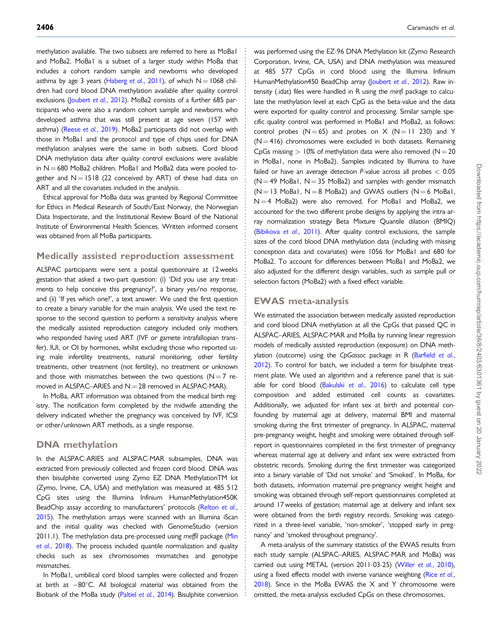methylation available. The two subsets are referred to here as MoBal and MoBa2. MoBa1 is a subset of a larger study within MoBa that includes a cohort random sample and newborns who developed asthma by age 3 years [\(Haberg](#page-9-0) et al., 2011), of which  $N = 1068$  children had cord blood DNA methylation available after quality control exclusions [\(Joubert](#page-9-0) et al., 2012). MoBa2 consists of a further 685 participants who were also a random cohort sample and newborns who developed asthma that was still present at age seven (157 with asthma) (Reese et al.[, 2019\)](#page-10-0). MoBa2 participants did not overlap with those in MoBa1 and the protocol and type of chips used for DNA methylation analyses were the same in both subsets. Cord blood DNA methylation data after quality control exclusions were available in  $N = 680$  MoBa2 children. MoBa1 and MoBa2 data were pooled together and  $N = 1518$  (22 conceived by ART) of these had data on ART and all the covariates included in the analysis.

Ethical approval for MoBa data was granted by Regional Committee for Ethics in Medical Research of South/East Norway, the Norwegian Data Inspectorate, and the Institutional Review Board of the National Institute of Environmental Health Sciences. Written informed consent was obtained from all MoBa participants.

#### Medically assisted reproduction assessment

ALSPAC participants were sent a postal questionnaire at 12 weeks gestation that asked a two-part question: (i) 'Did you use any treatments to help conceive this pregnancy?', a binary yes/no response, and (ii) 'If yes which one?', a text answer. We used the first question to create a binary variable for the main analysis. We used the text response to the second question to perform a sensitivity analysis where the medically assisted reproduction category included only mothers who responded having used ART (IVF or gamete intrafallopian transfer), IUI, or OI by hormones, whilst excluding those who reported using male infertility treatments, natural monitoring, other fertility treatments, other treatment (not fertility), no treatment or unknown and those with mismatches between the two questions ( $N=7$  removed in ALSPAC–ARIES and  $N = 28$  removed in ALSPAC-MAR).

In MoBa, ART information was obtained from the medical birth registry. The notification form completed by the midwife attending the delivery indicated whether the pregnancy was conceived by IVF, ICSI or other/unknown ART methods, as a single response.

#### DNA methylation

In the ALSPAC-ARIES and ALSPAC-MAR subsamples, DNA was extracted from previously collected and frozen cord blood. DNA was then bisulphite converted using Zymo EZ DNA MethylationTM kit (Zymo, Irvine, CA, USA) and methylation was measured at 485 512 CpG sites using the Illumina Infinium HumanMethylation450K BeadChip assay according to manufacturers' protocols [\(Relton](#page-10-0) et al., [2015\)](#page-10-0). The methylation arrays were scanned with an Illumina iScan and the initial quality was checked with GenomeStudio (version 2011.1). The methylation data pre-processed using meffil package [\(Min](#page-10-0) et al.[, 2018\)](#page-10-0). The process included quantile normalization and quality checks such as sex chromosomes mismatches and genotype mismatches.

In MoBa1, umbilical cord blood samples were collected and frozen at birth at  $-80^{\circ}$ C. All biological material was obtained from the Biobank of the MoBa study (Paltiel et al.[, 2014](#page-10-0)). Bisulphite conversion . . . . . . . . . . . . . . . . . . . . . . . . . . . . . . . . . . . . . . . . . . . . . . . . . . . . . . . . . . . . . . . . . . . . . . . . . . . . . . . . . . . . . . . . . . . . . . . . . . . . . . . . . . . . . . . . . . . . . . . . . . . . . . . . . . . . . . . . . . . . . . . . . . . . . . . . . . . . . . . . . . . . . . . . . . . .

was performed using the EZ-96 DNA Methylation kit (Zymo Research Corporation, Irvine, CA, USA) and DNA methylation was measured at 485 577 CpGs in cord blood using the Illumina Infinium HumanMethylation450 BeadChip array ([Joubert](#page-9-0) et al., 2012). Raw intensity (.idat) files were handled in R using the minfi package to calculate the methylation level at each CpG as the beta-value and the data were exported for quality control and processing. Similar sample specific quality control was performed in MoBa1 and MoBa2, as follows: control probes  $(N = 65)$  and probes on X  $(N = 11 230)$  and Y  $(N = 416)$  chromosomes were excluded in both datasets. Remaining CpGs missing  $> 10\%$  of methylation data were also removed ( $N = 20$ ) in MoBa1, none in MoBa2). Samples indicated by Illumina to have failed or have an average detection  $P$ -value across all probes  $< 0.05$  $(N = 49$  MoBa1, N  $= 35$  MoBa2) and samples with gender mismatch  $(N = 13$  MoBa1,  $N = 8$  MoBa2) and GWAS outliers  $(N = 6$  MoBa1,  $N = 4$  MoBa2) were also removed. For MoBa1 and MoBa2, we accounted for the two different probe designs by applying the intra-array normalization strategy Beta Mixture Quantile dilation (BMIQ) [\(Bibikova](#page-8-0) et al., 2011). After quality control exclusions, the sample sizes of the cord blood DNA methylation data (including with missing conception data and covariates) were 1056 for MoBa1 and 680 for MoBa2. To account for differences between MoBa1 and MoBa2, we also adjusted for the different design variables, such as sample pull or selection factors (MoBa2) with a fixed effect variable.

#### EWAS meta-analysis

We estimated the association between medically assisted reproduction and cord blood DNA methylation at all the CpGs that passed QC in ALSPAC–ARIES, ALSPAC-MAR and MoBa by running linear regression models of medically assisted reproduction (exposure) on DNA meth-ylation (outcome) using the CpGassoc package in R ([Barfield](#page-8-0) et al., [2012](#page-8-0)). To control for batch, we included a term for bisulphite treatment plate. We used an algorithm and a reference panel that is suit-able for cord blood [\(Bakulski](#page-8-0) et al., 2016) to calculate cell type composition and added estimated cell counts as covariates. Additionally, we adjusted for infant sex at birth and potential confounding by maternal age at delivery, maternal BMI and maternal smoking during the first trimester of pregnancy. In ALSPAC, maternal pre-pregnancy weight, height and smoking were obtained through selfreport in questionnaires completed in the first trimester of pregnancy whereas maternal age at delivery and infant sex were extracted from obstetric records. Smoking during the first trimester was categorized into a binary variable of 'Did not smoke' and 'Smoked'. In MoBa, for both datasets, information maternal pre-pregnancy weight height and smoking was obtained through self-report questionnaires completed at around 17 weeks of gestation; maternal age at delivery and infant sex were obtained from the birth registry records. Smoking was categorized in a three-level variable, 'non-smoker', 'stopped early in pregnancy' and 'smoked throughout pregnancy'.

A meta-analysis of the summary statistics of the EWAS results from each study sample (ALSPAC–ARIES, ALSPAC-MAR and MoBa) was carried out using METAL (version 2011-03-25) (Willer et al.[, 2010](#page-10-0)), using a fixed effects model with inverse variance weighting (Rice [et al.](#page-10-0),  $2018$ ). Since in the MoBa EWAS the X and Y chromosome were omitted, the meta-analysis excluded CpGs on these chromosomes.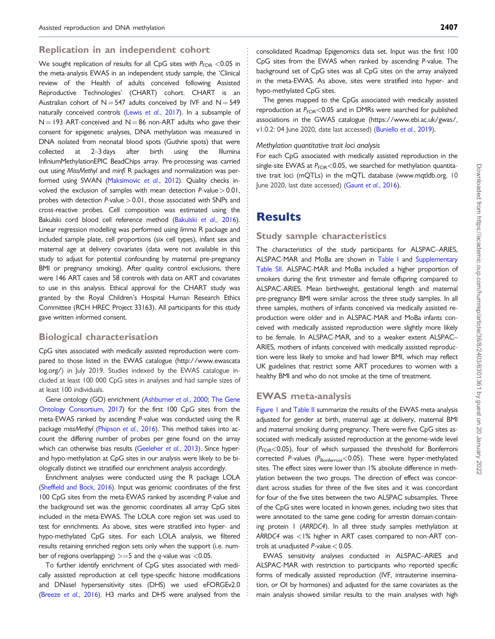#### . Replication in an independent cohort

We sought replication of results for all CpG sites with  $P_{\text{FDR}} < 0.05$  in the meta-analysis EWAS in an independent study sample, the 'Clinical review of the Health of adults conceived following Assisted Reproductive Technologies' (CHART) cohort. CHART is an Australian cohort of  $N = 547$  adults conceived by IVF and  $N = 549$ naturally conceived controls (Lewis et al.[, 2017](#page-9-0)). In a subsample of  $N = 193$  ART-conceived and N = 86 non-ART adults who gave their consent for epigenetic analyses, DNA methylation was measured in DNA isolated from neonatal blood spots (Guthrie spots) that were collected at 2–3 days after birth using the Illumina InfiniumMethylationEPIC BeadChips array. Pre-processing was carried out using MissMethyl and minfi R packages and normalization was per-formed using SWAN [\(Maksimovic](#page-9-0) et al., 2012). Quality checks involved the exclusion of samples with mean detection  $P$ -value  $> 0.01$ , probes with detection  $P$ -value  $> 0.01$ , those associated with SNPs and cross-reactive probes. Cell composition was estimated using the Bakulski cord blood cell reference method [\(Bakulski](#page-8-0) et al., 2016). Linear regression modelling was performed using limma R package and included sample plate, cell proportions (six cell types), infant sex and maternal age at delivery covariates (data were not available in this study to adjust for potential confounding by maternal pre-pregnancy BMI or pregnancy smoking). After quality control exclusions, there were 146 ART cases and 58 controls with data on ART and covariates to use in this analysis. Ethical approval for the CHART study was granted by the Royal Children's Hospital Human Research Ethics Committee (RCH HREC Project 33163). All participants for this study gave written informed consent.

#### Biological characterisation

CpG sites associated with medically assisted reproduction were compared to those listed in the EWAS catalogue ([http://www.ewascata](http://www.ewascatalog.org/) [log.org/](http://www.ewascatalog.org/)) in July 2019. Studies indexed by the EWAS catalogue included at least 100 000 CpG sites in analyses and had sample sizes of at least 100 individuals.

Gene ontology (GO) enrichment [\(Ashburner](#page-8-0) et al., 2000; [The Gene](#page-10-0) [Ontology Consortium, 2017](#page-10-0)) for the first 100 CpG sites from the meta-EWAS ranked by ascending P-value was conducted using the R package missMethyl ([Phipson](#page-10-0) et al., 2016). This method takes into account the differing number of probes per gene found on the array which can otherwise bias results ([Geeleher](#page-9-0) et al., 2013). Since hyperand hypo-methylation at CpG sites in our analysis were likely to be biologically distinct we stratified our enrichment analysis accordingly.

Enrichment analyses were conducted using the R package LOLA ([Sheffield and Bock, 2016](#page-10-0)). Input was genomic coordinates of the first 100 CpG sites from the meta-EWAS ranked by ascending P-value and the background set was the genomic coordinates all array CpG sites included in the meta-EWAS. The LOLA core region set was used to test for enrichments. As above, sites were stratified into hyper- and hypo-methylated CpG sites. For each LOLA analysis, we filtered results retaining enriched region sets only when the support (i.e. number of regions overlapping)  $>=5$  and the q-value was <0.05.

To further identify enrichment of CpG sites associated with medically assisted reproduction at cell type-specific histone modifications and DNaseI hypersensitivity sites (DHS) we used eFORGEv2.0 ([Breeze](#page-8-0) et al., 2016). H3 marks and DHS were analysed from the

consolidated Roadmap Epigenomics data set. Input was the first 100 CpG sites from the EWAS when ranked by ascending P-value. The background set of CpG sites was all CpG sites on the array analyzed in the meta-EWAS. As above, sites were stratified into hyper- and hypo-methylated CpG sites.

The genes mapped to the CpGs associated with medically assisted reproduction at  $P_{FDR}$ <0.05 and in DMRs were searched for published associations in the GWAS catalogue [\(https://www.ebi.ac.uk/gwas/,](https://www.ebi.ac.uk/gwas/) v1.0.2: 04 June 2020, date last accessed) ([Buniello](#page-8-0) et al., 2019).

#### Methylation quantitative trait loci analysis

For each CpG associated with medically assisted reproduction in the single-site EWAS at  $P_{\text{FDR}}$ <0.05, we searched for methylation quantitative trait loci (mQTLs) in the mQTL database [\(www.mqtldb.org](http://www.mqtldb.org), 10 June 2020, last date accessed) (Gaunt et al.[, 2016\)](#page-9-0).

### **Results**

#### Study sample characteristics

The characteristics of the study participants for ALSPAC–ARIES, ALSPAC-MAR and MoBa are shown in [Table I](#page-5-0) and [Supplementary](https://academic.oup.com/humrep/article-lookup/doi/10.1093/humrep/deab137#supplementary-data) [Table SII](https://academic.oup.com/humrep/article-lookup/doi/10.1093/humrep/deab137#supplementary-data). ALSPAC-MAR and MoBa included a higher proportion of smokers during the first trimester and female offspring compared to ALSPAC-ARIES. Mean birthweight, gestational length and maternal pre-pregnancy BMI were similar across the three study samples. In all three samples, mothers of infants conceived via medically assisted reproduction were older and in ALSPAC-MAR and MoBa infants conceived with medically assisted reproduction were slightly more likely to be female. In ALSPAC-MAR, and to a weaker extent ALSPAC– ARIES, mothers of infants conceived with medically assisted reproduction were less likely to smoke and had lower BMI, which may reflect UK guidelines that restrict some ART procedures to women with a healthy BMI and who do not smoke at the time of treatment.

#### EWAS meta-analysis

. . . . . . . . . . . . . . . . . . . . . . . . . . . . . . . . . . . . . . . . . . . . . . . . . . . . . . . . . . . . . . . . . . . . . . . . . . . . . . . . . . . . . . . . . . . . . . . . . . . . . . . . . . . . . . . . . . . . . . . . . . . . . . . . . . . . . . . . . . . . . . . . . . . . . . . . . . . . . . . . . . . . . . . . . . . .

[Figure 1](#page-6-0) and [Table II](#page-6-0) summarize the results of the EWAS meta-analysis adjusted for gender at birth, maternal age at delivery, maternal BMI and maternal smoking during pregnancy. There were five CpG sites associated with medically assisted reproduction at the genome-wide level  $(P_{FDR}$ <0.05), four of which surpassed the threshold for Bonferroni corrected P-values ( $P_{\text{Bonferroni}}$ <0.05). These were hyper-methylated sites. The effect sizes were lower than 1% absolute difference in methylation between the two groups. The direction of effect was concordant across studies for three of the five sites and it was concordant for four of the five sites between the two ALSPAC subsamples. Three of the CpG sites were located in known genes, including two sites that were annotated to the same gene coding for arrestin domain-containing protein 1 (ARRDC4). In all three study samples methylation at ARRDC4 was <1% higher in ART cases compared to non-ART controls at unadjusted  $P$ -value  $< 0.05$ .

EWAS sensitivity analyses conducted in ALSPAC–ARIES and ALSPAC-MAR with restriction to participants who reported specific forms of medically assisted reproduction (IVF, intrauterine insemination, or OI by hormones) and adjusted for the same covariates as the main analysis showed similar results to the main analyses with high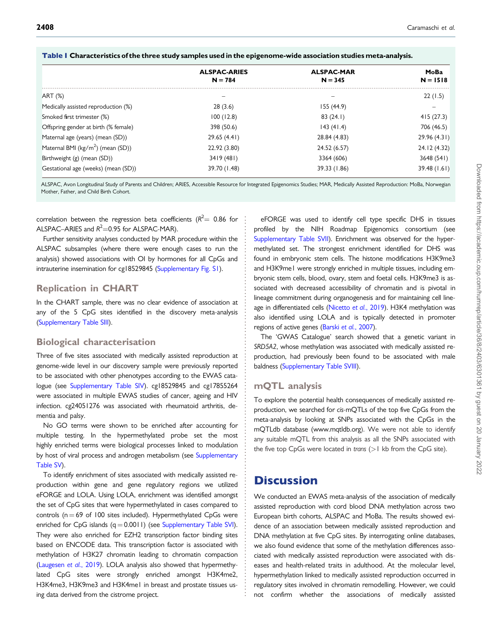|                                              | <b>ALSPAC-ARIES</b> | <b>ALSPAC-MAR</b> | MoBa         |
|----------------------------------------------|---------------------|-------------------|--------------|
|                                              | $N = 784$           | $N = 345$         | $N = 1518$   |
| ART (%)                                      |                     |                   | 22(1.5)      |
| Medically assisted reproduction (%)          | 28(3.6)             | 155(44.9)         |              |
| Smoked first trimester (%)                   | 100(12.8)           | 83(24.1)          | 415(27.3)    |
| Offspring gender at birth (% female)         | 398 (50.6)          | 143(41.4)         | 706 (46.5)   |
| Maternal age (years) (mean (SD))             | 29.65 (4.41)        | 28.84 (4.83)      | 29.96 (4.31) |
| Maternal BMI ( $\text{kg/m}^2$ ) (mean (SD)) | 22.92 (3.80)        | 24.52 (6.57)      | 24.12 (4.32) |
| Birthweight (g) (mean (SD))                  | 3419 (481)          | 3364 (606)        | 3648 (541)   |
| Gestational age (weeks) (mean (SD))          | 39.70 (1.48)        | 39.33 (1.86)      | 39.48 (1.61) |

<span id="page-5-0"></span>

ALSPAC, Avon Longitudinal Study of Parents and Children; ARIES, Accessible Resource for Integrated Epigenomics Studies; MAR, Medically Assisted Reproduction: MoBa, Norwegian Mother, Father, and Child Birth Cohort.

correlation between the regression beta coefficients ( $R^2$   $=$  0.86 for  $\pm$ ALSPAC–ARIES and  $R^2$ =0.95 for ALSPAC-MAR).

Further sensitivity analyses conducted by MAR procedure within the ALSPAC subsamples (where there were enough cases to run the analysis) showed associations with OI by hormones for all CpGs and intrauterine insemination for cg18529845 ([Supplementary Fig. S1\)](https://academic.oup.com/humrep/article-lookup/doi/10.1093/humrep/deab137#supplementary-data).

#### Replication in CHART

In the CHART sample, there was no clear evidence of association at any of the 5 CpG sites identified in the discovery meta-analysis ([Supplementary Table SIII\)](https://academic.oup.com/humrep/article-lookup/doi/10.1093/humrep/deab137#supplementary-data).

#### Biological characterisation

Three of five sites associated with medically assisted reproduction at genome-wide level in our discovery sample were previously reported to be associated with other phenotypes according to the EWAS catalogue (see [Supplementary Table SIV](https://academic.oup.com/humrep/article-lookup/doi/10.1093/humrep/deab137#supplementary-data)). cg18529845 and cg17855264 were associated in multiple EWAS studies of cancer, ageing and HIV infection. cg24051276 was associated with rheumatoid arthritis, dementia and palsy.

No GO terms were shown to be enriched after accounting for multiple testing. In the hypermethylated probe set the most highly enriched terms were biological processes linked to modulation by host of viral process and androgen metabolism (see [Supplementary](https://academic.oup.com/humrep/article-lookup/doi/10.1093/humrep/deab137#supplementary-data) [Table SV](https://academic.oup.com/humrep/article-lookup/doi/10.1093/humrep/deab137#supplementary-data)).

To identify enrichment of sites associated with medically assisted reproduction within gene and gene regulatory regions we utilized eFORGE and LOLA. Using LOLA, enrichment was identified amongst the set of CpG sites that were hypermethylated in cases compared to controls ( $n = 69$  of 100 sites included). Hypermethylated CpGs were enriched for CpG islands  $(q = 0.0011)$  (see [Supplementary Table SVI\)](https://academic.oup.com/humrep/article-lookup/doi/10.1093/humrep/deab137#supplementary-data). They were also enriched for EZH2 transcription factor binding sites based on ENCODE data. This transcription factor is associated with methylation of H3K27 chromatin leading to chromatin compaction ([Laugesen](#page-9-0) et al., 2019). LOLA analysis also showed that hypermethylated CpG sites were strongly enriched amongst H3K4me2, H3K4me3, H3K9me3 and H3K4me1 in breast and prostate tissues using data derived from the cistrome project.

eFORGE was used to identify cell type specific DHS in tissues profiled by the NIH Roadmap Epigenomics consortium (see [Supplementary Table SVII\)](https://academic.oup.com/humrep/article-lookup/doi/10.1093/humrep/deab137#supplementary-data). Enrichment was observed for the hypermethylated set. The strongest enrichment identified for DHS was found in embryonic stem cells. The histone modifications H3K9me3 and H3K9me1 were strongly enriched in multiple tissues, including embryonic stem cells, blood, ovary, stem and foetal cells. H3K9me3 is associated with decreased accessibility of chromatin and is pivotal in lineage commitment during organogenesis and for maintaining cell line-age in differentiated cells ([Nicetto](#page-10-0) et al., 2019). H3K4 methylation was also identified using LOLA and is typically detected in promoter regions of active genes (Barski et al.[, 2007\)](#page-8-0).

The 'GWAS Catalogue' search showed that a genetic variant in SRD5A2, whose methylation was associated with medically assisted reproduction, had previously been found to be associated with male baldness ([Supplementary Table SVIII\)](https://academic.oup.com/humrep/article-lookup/doi/10.1093/humrep/deab137#supplementary-data).

### mQTL analysis

To explore the potential health consequences of medically assisted reproduction, we searched for cis-mQTLs of the top five CpGs from the meta-analysis by looking at SNPs associated with the CpGs in the mQTLdb database [\(www.mqtldb.org\)](http://www.mqtldb.org). We were not able to identify any suitable mQTL from this analysis as all the SNPs associated with the five top CpGs were located in trans  $(>1$  kb from the CpG site).

## **Discussion**

. . . . . . . . . . . . . . . . . . . . . . . . . . . . . . . . . . . . . . . . . . . . . . . . . . . . . . . . . . . . . . . . . . . . . . . . . . . . . . . . . . . . . . . . . . . . . . . . . . . . . . . . . . . . . . . . . . . . . . .

We conducted an EWAS meta-analysis of the association of medically assisted reproduction with cord blood DNA methylation across two European birth cohorts, ALSPAC and MoBa. The results showed evidence of an association between medically assisted reproduction and DNA methylation at five CpG sites. By interrogating online databases, we also found evidence that some of the methylation differences associated with medically assisted reproduction were associated with diseases and health-related traits in adulthood. At the molecular level, hypermethylation linked to medically assisted reproduction occurred in regulatory sites involved in chromatin remodelling. However, we could not confirm whether the associations of medically assisted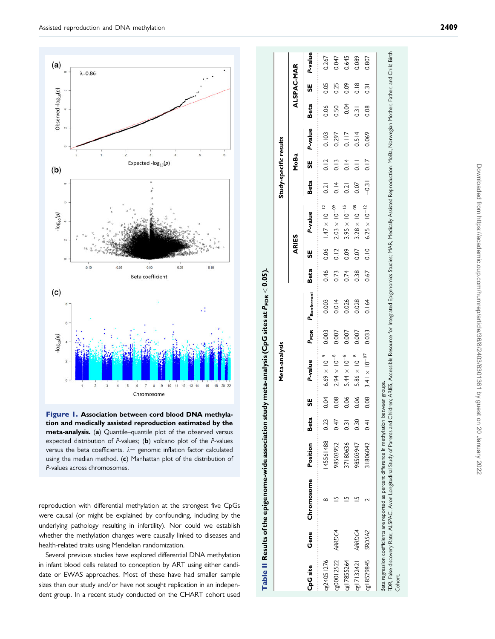<span id="page-6-0"></span>

Figure 1. Association between cord blood DNA methylation and medically assisted reproduction estimated by the meta-analysis. (a) Quantile–quantile plot of the observed versus expected distribution of  $P$ -values; (b) volcano plot of the  $P$ -values versus the beta coefficients.  $\lambda=$  genomic inflation factor calculated using the median method. ( c) Manhattan plot of the distribution of P-values across chromosomes.

reproduction with differential methylation at the strongest five CpGs were causal (or might be explained by confounding, including by the underlying pathology resulting in infertility). Nor could we establish whether the methylation changes were causally linked to diseases and health-related traits using Mendelian randomization.

Several previous studies have explored differential DNA methylation in infant blood cells related to conception by ART using either candidate or EWAS approaches. Most of these have had smaller sample sizes than our study and/or have not sought replication in an independent group. In a recent study conducted on the CHART cohort used

|                 |        |                                                                                                                                                                                                                                                                                                                                  |          |                  |      | Meta-analysis          |                  |             |      |       |                        | Study-specific results |               |         |                  |                  |         |
|-----------------|--------|----------------------------------------------------------------------------------------------------------------------------------------------------------------------------------------------------------------------------------------------------------------------------------------------------------------------------------|----------|------------------|------|------------------------|------------------|-------------|------|-------|------------------------|------------------------|---------------|---------|------------------|------------------|---------|
|                 |        |                                                                                                                                                                                                                                                                                                                                  |          |                  |      |                        |                  |             |      | ARIES |                        |                        | MoBa          |         |                  | ALSPAC-MAR       |         |
| <b>CpG site</b> | Gene   | Chromosome                                                                                                                                                                                                                                                                                                                       | Position | Beta             | 5    | P-value                | P <sub>EDR</sub> | Paonferroni | Beta | 56    | P-value                | Beta                   | 56            | P-value | Beta             | မ္တ              | P-value |
| cg24051276      |        |                                                                                                                                                                                                                                                                                                                                  | 45561488 | 0.23             | 0.04 | $6.69 \times 10^{-9}$  | 0.003            | 0.003       | 0.46 | 0.06  | $1.47 \times 10^{-12}$ | 0.21                   | 0.12          | 0.103   | 0.06             | 0.05             | 0.267   |
| cg00012522      | ARRDC4 |                                                                                                                                                                                                                                                                                                                                  | 98503952 | 0.47             | 0.08 | $2.94 \times 10^{-8}$  | 0.007            | 0.014       | 0.73 | 0.12  | $2.03 \times 10^{-09}$ | 0.14                   | $\frac{3}{2}$ | 0.297   | 0.50             | 0.25             | 0.047   |
| cg17855264      |        |                                                                                                                                                                                                                                                                                                                                  | 37180636 | $\overline{0.3}$ | 0.06 | $5.44 \times 10^{-8}$  | 0.007            | 0.026       | 0.74 | 0.09  | $3.95 \times 10^{-15}$ | 0.21                   | 0.14          | 0.117   | $-0.04$          | 0.09             | 0.645   |
| cg17132421      | ARRDC4 |                                                                                                                                                                                                                                                                                                                                  | 98503947 | 0.30             | 0.06 | $5.86 \times 10^{-8}$  | 0.007            | 0.028       | 0.38 | 0.07  | $3.28 \times 10^{-08}$ | 0.07                   | $\frac{1}{2}$ | 0.514   | $\overline{0.3}$ | $\frac{8}{10}$   | 0.089   |
| cg18529845      | SRD5A2 |                                                                                                                                                                                                                                                                                                                                  | 31806042 | $\overline{6}$   | 0.08 | $3.41 \times 10^{-07}$ | 0.033            | 0.164       | 0.67 | 0.10  | $6.25 \times 10^{-12}$ | $-0.31$                | 0.17          | 0.069   | 0.08             | $\overline{0.3}$ | 0.807   |
| Cohort.         |        | FDR, False discovery Rate: ALSPAC. Avon Longiudinal Study of Parents and Chidren; ARIES, Accessible Resource for Integrated Epigenomics Studies; MAR, Medically Assisted Reproduction: MoBa, Norwegian Mother, Father, and Chi<br>Beta regression coefficients are reported as percent difference in methylation between groups. |          |                  |      |                        |                  |             |      |       |                        |                        |               |         |                  |                  |         |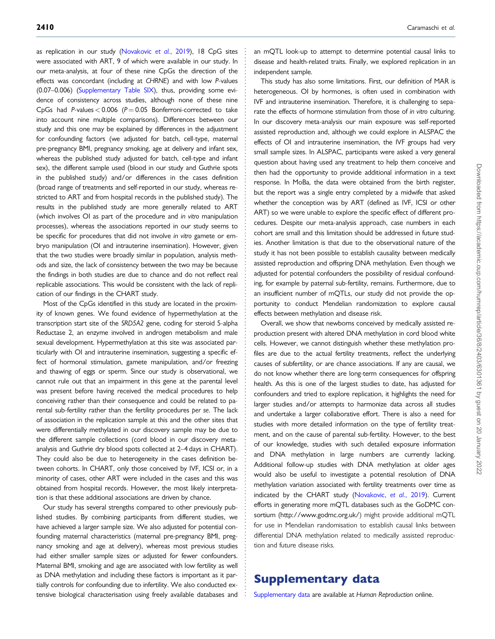as replication in our study [\(Novakovic](#page-10-0) et al., 2019), 18 CpG sites were associated with ART, 9 of which were available in our study. In our meta-analysis, at four of these nine CpGs the direction of the effects was concordant (including at CHRNE) and with low P-values (0.07–0.006) [\(Supplementary Table SIX](https://academic.oup.com/humrep/article-lookup/doi/10.1093/humrep/deab137#supplementary-data)), thus, providing some evidence of consistency across studies, although none of these nine CpGs had P-values  $< 0.006$  (P = 0.05 Bonferroni-corrected to take into account nine multiple comparisons). Differences between our study and this one may be explained by differences in the adjustment for confounding factors (we adjusted for batch, cell-type, maternal pre-pregnancy BMI, pregnancy smoking, age at delivery and infant sex, whereas the published study adjusted for batch, cell-type and infant sex), the different sample used (blood in our study and Guthrie spots in the published study) and/or differences in the cases definition (broad range of treatments and self-reported in our study, whereas restricted to ART and from hospital records in the published study). The results in the published study are more generally related to ART (which involves OI as part of the procedure and in vitro manipulation processes), whereas the associations reported in our study seems to be specific for procedures that did not involve in vitro gamete or embryo manipulation (OI and intrauterine insemination). However, given that the two studies were broadly similar in population, analysis methods and size, the lack of consistency between the two may be because the findings in both studies are due to chance and do not reflect real replicable associations. This would be consistent with the lack of replication of our findings in the CHART study.

Most of the CpGs identified in this study are located in the proximity of known genes. We found evidence of hypermethylation at the transcription start site of the SRD5A2 gene, coding for steroid 5-alpha Reductase 2, an enzyme involved in androgen metabolism and male sexual development. Hypermethylation at this site was associated particularly with OI and intrauterine insemination, suggesting a specific effect of hormonal stimulation, gamete manipulation, and/or freezing and thawing of eggs or sperm. Since our study is observational, we cannot rule out that an impairment in this gene at the parental level was present before having received the medical procedures to help conceiving rather than their consequence and could be related to parental sub-fertility rather than the fertility procedures per se. The lack of association in the replication sample at this and the other sites that were differentially methylated in our discovery sample may be due to the different sample collections (cord blood in our discovery metaanalysis and Guthrie dry blood spots collected at 2–4 days in CHART). They could also be due to heterogeneity in the cases definition between cohorts. In CHART, only those conceived by IVF, ICSI or, in a minority of cases, other ART were included in the cases and this was obtained from hospital records. However, the most likely interpretation is that these additional associations are driven by chance.

Our study has several strengths compared to other previously published studies. By combining participants from different studies, we have achieved a larger sample size. We also adjusted for potential confounding maternal characteristics (maternal pre-pregnancy BMI, pregnancy smoking and age at delivery), whereas most previous studies had either smaller sample sizes or adjusted for fewer confounders. Maternal BMI, smoking and age are associated with low fertility as well as DNA methylation and including these factors is important as it partially controls for confounding due to infertility. We also conducted extensive biological characterisation using freely available databases and

an mQTL look-up to attempt to determine potential causal links to disease and health-related traits. Finally, we explored replication in an independent sample.

This study has also some limitations. First, our definition of MAR is heterogeneous. OI by hormones, is often used in combination with IVF and intrauterine insemination. Therefore, it is challenging to separate the effects of hormone stimulation from those of in vitro culturing. In our discovery meta-analysis our main exposure was self-reported assisted reproduction and, although we could explore in ALSPAC the effects of OI and intrauterine insemination, the IVF groups had very small sample sizes. In ALSPAC, participants were asked a very general question about having used any treatment to help them conceive and then had the opportunity to provide additional information in a text response. In MoBa, the data were obtained from the birth register, but the report was a single entry completed by a midwife that asked whether the conception was by ART (defined as IVF, ICSI or other ART) so we were unable to explore the specific effect of different procedures. Despite our meta-analysis approach, case numbers in each cohort are small and this limitation should be addressed in future studies. Another limitation is that due to the observational nature of the study it has not been possible to establish causality between medically assisted reproduction and offspring DNA methylation. Even though we adjusted for potential confounders the possibility of residual confounding, for example by paternal sub-fertility, remains. Furthermore, due to an insufficient number of mQTLs, our study did not provide the opportunity to conduct Mendelian randomization to explore causal effects between methylation and disease risk.

Overall, we show that newborns conceived by medically assisted reproduction present with altered DNA methylation in cord blood white cells. However, we cannot distinguish whether these methylation profiles are due to the actual fertility treatments, reflect the underlying causes of subfertility, or are chance associations. If any are causal, we do not know whether there are long-term consequences for offspring health. As this is one of the largest studies to date, has adjusted for confounders and tried to explore replication, it highlights the need for larger studies and/or attempts to harmonize data across all studies and undertake a larger collaborative effort. There is also a need for studies with more detailed information on the type of fertility treatment, and on the cause of parental sub-fertility. However, to the best of our knowledge, studies with such detailed exposure information and DNA methylation in large numbers are currently lacking. Additional follow-up studies with DNA methylation at older ages would also be useful to investigate a potential resolution of DNA methylation variation associated with fertility treatments over time as indicated by the CHART study [\(Novakovic,](#page-10-0) et al., 2019). Current efforts in generating more mQTL databases such as the GoDMC consortium [\(http://www.godmc.org.uk/](http://www.godmc.org.uk/)) might provide additional mQTL for use in Mendelian randomisation to establish causal links between differential DNA methylation related to medically assisted reproduction and future disease risks.

### Supplementary data

. . . . . . . . . . . . . . . . . . . . . . . . . . . . . . . . . . . . . . . . . . . . . . . . . . . . . . . . . . . . . . . . . . . . . . . . . . . . . . . . . . . . . . . . . . . . . . . . . . . . . . . . . . . . . . . . . . . . . . . . . . . . . . . . . . . . . . . . . . . . . . . . . . . . . . . . . . . . . . . . . . . . . . . . . . . .

[Supplementary data](https://academic.oup.com/humrep/article-lookup/doi/10.1093/humrep/deab137#supplementary-data) are available at Human Reproduction online.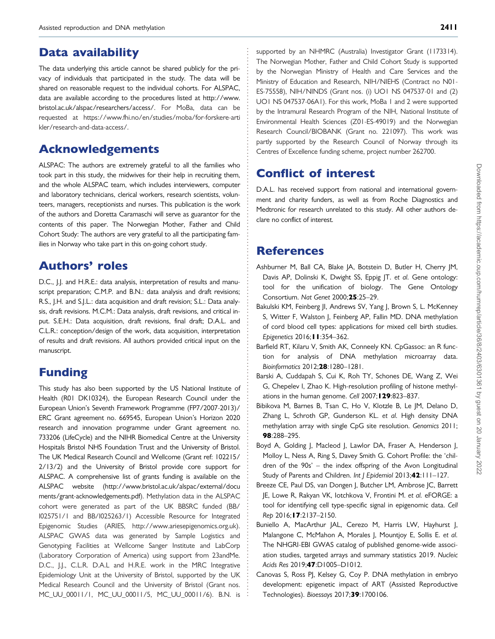### <span id="page-8-0"></span>Data availability

The data underlying this article cannot be shared publicly for the privacy of individuals that participated in the study. The data will be shared on reasonable request to the individual cohorts. For ALSPAC, data are available according to the procedures listed at [http://www.](http://www.bristol.ac.uk/alspac/researchers/access/) [bristol.ac.uk/alspac/researchers/access/.](http://www.bristol.ac.uk/alspac/researchers/access/) For MoBa, data can be requested at [https://www.fhi.no/en/studies/moba/for-forskere-arti](https://www.fhi.no/en/studies/moba/for-forskere-artikler/research-and-data-access/) [kler/research-and-data-access/](https://www.fhi.no/en/studies/moba/for-forskere-artikler/research-and-data-access/).

# Acknowledgements

ALSPAC: The authors are extremely grateful to all the families who took part in this study, the midwives for their help in recruiting them, and the whole ALSPAC team, which includes interviewers, computer and laboratory technicians, clerical workers, research scientists, volunteers, managers, receptionists and nurses. This publication is the work of the authors and Doretta Caramaschi will serve as guarantor for the contents of this paper. The Norwegian Mother, Father and Child Cohort Study: The authors are very grateful to all the participating families in Norway who take part in this on-going cohort study.

# Authors' roles

D.C., J.J. and H.R.E.: data analysis, interpretation of results and manuscript preparation; C.M.P. and B.N.: data analysis and draft revisions; R.S., J.H. and S.J.L.: data acquisition and draft revision; S.L.: Data analysis, draft revisions. M.C.M.: Data analysis, draft revisions, and critical input. S.E.H.: Data acquisition, draft revisions, final draft; D.A.L. and C.L.R.: conception/design of the work, data acquisition, interpretation of results and draft revisions. All authors provided critical input on the manuscript.

# Funding

This study has also been supported by the US National Institute of Health (R01 DK10324), the European Research Council under the European Union's Seventh Framework Programme (FP7/2007-2013)/ ERC Grant agreement no. 669545, European Union's Horizon 2020 research and innovation programme under Grant agreement no. 733206 (LifeCycle) and the NIHR Biomedical Centre at the University Hospitals Bristol NHS Foundation Trust and the University of Bristol. The UK Medical Research Council and Wellcome (Grant ref: 102215/ 2/13/2) and the University of Bristol provide core support for ALSPAC. A comprehensive list of grants funding is available on the ALSPAC website [\(http://www.bristol.ac.uk/alspac/external/docu](http://www.bristol.ac.uk/alspac/external/documents/grant-acknowledgements.pdf) [ments/grant-acknowledgements.pdf\)](http://www.bristol.ac.uk/alspac/external/documents/grant-acknowledgements.pdf). Methylation data in the ALSPAC cohort were generated as part of the UK BBSRC funded (BB/ I025751/1 and BB/I025263/1) Accessible Resource for Integrated Epigenomic Studies (ARIES, [http://www.ariesepigenomics.org.uk\)](http://www.ariesepigenomics.org.uk). ALSPAC GWAS data was generated by Sample Logistics and Genotyping Facilities at Wellcome Sanger Institute and LabCorp (Laboratory Corporation of America) using support from 23andMe. D.C., J.J., C.L.R. D.A.L and H.R.E. work in the MRC Integrative Epidemiology Unit at the University of Bristol, supported by the UK Medical Research Council and the University of Bristol (Grant nos. MC\_UU\_00011/1, MC\_UU\_00011/5, MC\_UU\_00011/6). B.N. is

supported by an NHMRC (Australia) Investigator Grant (1173314). The Norwegian Mother, Father and Child Cohort Study is supported by the Norwegian Ministry of Health and Care Services and the Ministry of Education and Research, NIH/NIEHS (Contract no N01- ES-75558), NIH/NINDS (Grant nos. (i) UO1 NS 047537-01 and (2) UO1 NS 047537-06A1). For this work, MoBa 1 and 2 were supported by the Intramural Research Program of the NIH, National Institute of Environmental Health Sciences (Z01-ES-49019) and the Norwegian Research Council/BIOBANK (Grant no. 221097). This work was partly supported by the Research Council of Norway through its Centres of Excellence funding scheme, project number 262700.

# Conflict of interest

D.A.L. has received support from national and international government and charity funders, as well as from Roche Diagnostics and Medtronic for research unrelated to this study. All other authors declare no conflict of interest.

### References

. . . . . . . . . . . . . . . . . . . . . . . . . . . . . . . . . . . . . . . . . . . . . . . . . . . . . . . . . . . . . . . . . . . . . . . . . . . . . . . . . . . . . . . . . . . . . . . . . . . . . . . . . . . . . . . . . . . . . . . . . . . . . . . . . . . . . . . . . . . . . . . . . . . . . . . . . . . . . . . . . . . . . . . . . . . .

- Ashburner M, Ball CA, Blake JA, Botstein D, Butler H, Cherry JM, Davis AP, Dolinski K, Dwight SS, Eppig JT. et al. Gene ontology: tool for the unification of biology. The Gene Ontology Consortium. Nat Genet 2000;25:25–29.
- Bakulski KM, Feinberg JI, Andrews SV, Yang J, Brown S, L. McKenney S, Witter F, Walston J, Feinberg AP, Fallin MD. DNA methylation of cord blood cell types: applications for mixed cell birth studies. Epigenetics 2016;11:354–362.
- Barfield RT, Kilaru V, Smith AK, Conneely KN. CpGassoc: an R function for analysis of DNA methylation microarray data. Bioinformatics 2012;28:1280–1281.
- Barski A, Cuddapah S, Cui K, Roh TY, Schones DE, Wang Z, Wei G, Chepelev I, Zhao K. High-resolution profiling of histone methylations in the human genome. Cell 2007; **129**:823-837.
- Bibikova M, Barnes B, Tsan C, Ho V, Klotzle B, Le JM, Delano D, Zhang L, Schroth GP, Gunderson KL. et al. High density DNA methylation array with single CpG site resolution. Genomics 2011; 98:288–295.
- Boyd A, Golding J, Macleod J, Lawlor DA, Fraser A, Henderson J, Molloy L, Ness A, Ring S, Davey Smith G. Cohort Profile: the 'children of the 90s' – the index offspring of the Avon Longitudinal Study of Parents and Children. Int J Epidemiol 2013;42:111-127.
- Breeze CE, Paul DS, van Dongen J, Butcher LM, Ambrose JC, Barrett JE, Lowe R, Rakyan VK, Iotchkova V, Frontini M. et al. eFORGE: a tool for identifying cell type-specific signal in epigenomic data. Cell Rep 2016;17:2137–2150.
- Buniello A, MacArthur JAL, Cerezo M, Harris LW, Hayhurst J, Malangone C, McMahon A, Morales J, Mountjoy E, Sollis E. et al. The NHGRI-EBI GWAS catalog of published genome-wide association studies, targeted arrays and summary statistics 2019. Nucleic Acids Res 2019;47:D1005–D1012.
- Canovas S, Ross PJ, Kelsey G, Coy P. DNA methylation in embryo development: epigenetic impact of ART (Assisted Reproductive Technologies). Bioessays 2017;39:1700106.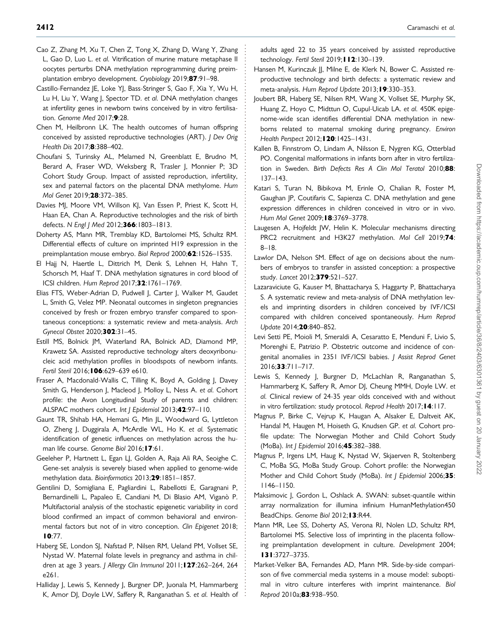- <span id="page-9-0"></span>. Cao Z, Zhang M, Xu T, Chen Z, Tong X, Zhang D, Wang Y, Zhang L, Gao D, Luo L. et al. Vitrification of murine mature metaphase II oocytes perturbs DNA methylation reprogramming during preimplantation embryo development. Cryobiology 2019;87:91–98.
- Castillo-Fernandez JE, Loke YJ, Bass-Stringer S, Gao F, Xia Y, Wu H, Lu H, Liu Y, Wang J, Spector TD. et al. DNA methylation changes at infertility genes in newborn twins conceived by in vitro fertilisation. Genome Med 2017;9:28.
- Chen M, Heilbronn LK. The health outcomes of human offspring conceived by assisted reproductive technologies (ART). J Dev Orig Health Dis 2017;8:388-402.
- Choufani S, Turinsky AL, Melamed N, Greenblatt E, Brudno M, Berard A, Fraser WD, Weksberg R, Trasler J, Monnier P; 3D Cohort Study Group. Impact of assisted reproduction, infertility, sex and paternal factors on the placental DNA methylome. Hum Mol Genet 2019;28:372–385.
- Davies MJ, Moore VM, Willson KJ, Van Essen P, Priest K, Scott H, Haan EA, Chan A. Reproductive technologies and the risk of birth defects. N Engl | Med 2012;366:1803-1813.
- Doherty AS, Mann MR, Tremblay KD, Bartolomei MS, Schultz RM. Differential effects of culture on imprinted H19 expression in the preimplantation mouse embryo. Biol Reprod 2000;62:1526-1535.
- El Hajj N, Haertle L, Dittrich M, Denk S, Lehnen H, Hahn T, Schorsch M, Haaf T. DNA methylation signatures in cord blood of ICSI children. Hum Reprod 2017;32:1761–1769.
- Elias FTS, Weber-Adrian D, Pudwell J, Carter J, Walker M, Gaudet L, Smith G, Velez MP. Neonatal outcomes in singleton pregnancies conceived by fresh or frozen embryo transfer compared to spontaneous conceptions: a systematic review and meta-analysis. Arch Gynecol Obstet 2020;302:31–45.
- Estill MS, Bolnick JM, Waterland RA, Bolnick AD, Diamond MP, Krawetz SA. Assisted reproductive technology alters deoxyribonucleic acid methylation profiles in bloodspots of newborn infants. Fertil Steril 2016; 106:629-639 e610.
- Fraser A, Macdonald-Wallis C, Tilling K, Boyd A, Golding J, Davey Smith G, Henderson J, Macleod J, Molloy L, Ness A. et al. Cohort profile: the Avon Longitudinal Study of parents and children: ALSPAC mothers cohort. Int J Epidemiol 2013;42:97-110.
- Gaunt TR, Shihab HA, Hemani G, Min JL, Woodward G, Lyttleton O, Zheng J, Duggirala A, McArdle WL, Ho K. et al. Systematic identification of genetic influences on methylation across the human life course. Genome Biol 2016; 17:61.
- Geeleher P, Hartnett L, Egan LJ, Golden A, Raja Ali RA, Seoighe C. Gene-set analysis is severely biased when applied to genome-wide methylation data. Bioinformatics 2013;29:1851-1857.
- Gentilini D, Somigliana E, Pagliardini L, Rabellotti E, Garagnani P, Bernardinelli L, Papaleo E, Candiani M, Di Blasio AM, Viganò P. Multifactorial analysis of the stochastic epigenetic variability in cord blood confirmed an impact of common behavioral and environmental factors but not of in vitro conception. Clin Epigenet 2018; 10:77.
- Haberg SE, London SJ, Nafstad P, Nilsen RM, Ueland PM, Vollset SE, Nystad W. Maternal folate levels in pregnancy and asthma in children at age 3 years. J Allergy Clin Immunol 2011; 127:262-264, 264 e261.
- Halliday J, Lewis S, Kennedy J, Burgner DP, Juonala M, Hammarberg K, Amor DJ, Doyle LW, Saffery R, Ranganathan S. et al. Health of

. . . . . . . . . . . . . . . . . . . . . . . . . . . . . . . . . . . . . . . . . . . . . . . . . . . . . . . . . . . . . . . . . . . . . . . . . . . . . . . . . . . . . . . . . . . . . . . . . . . . . . . . . . . . . . . . . . . . . . . . . . . . . . . . . . . . . . . . . . . . . . . . . . . . . . . . . . . . . . . . . . . . . . . . . . . . .

adults aged 22 to 35 years conceived by assisted reproductive technology. Fertil Steril 2019: **112**:130-139.

- Hansen M, Kurinczuk JJ, Milne E, de Klerk N, Bower C. Assisted reproductive technology and birth defects: a systematic review and meta-analysis. Hum Reprod Update 2013; 19:330-353.
- Joubert BR, Haberg SE, Nilsen RM, Wang X, Vollset SE, Murphy SK, Huang Z, Hoyo C, Midttun O, Cupul-Uicab LA. et al. 450K epigenome-wide scan identifies differential DNA methylation in newborns related to maternal smoking during pregnancy. Environ Health Perspect 2012:120:1425-1431.
- Kallen B, Finnstrom O, Lindam A, Nilsson E, Nygren KG, Otterblad PO. Congenital malformations in infants born after in vitro fertilization in Sweden. Birth Defects Res A Clin Mol Teratol 2010;88: 137–143.
- Katari S, Turan N, Bibikova M, Erinle O, Chalian R, Foster M, Gaughan JP, Coutifaris C, Sapienza C. DNA methylation and gene expression differences in children conceived in vitro or in vivo. Hum Mol Genet 2009; **18:**3769-3778.
- Laugesen A, Hojfeldt JW, Helin K. Molecular mechanisms directing PRC2 recruitment and H3K27 methylation. Mol Cell 2019;74: 8–18.
- Lawlor DA, Nelson SM. Effect of age on decisions about the numbers of embryos to transfer in assisted conception: a prospective study. Lancet 2012;379:521–527.
- Lazaraviciute G, Kauser M, Bhattacharya S, Haggarty P, Bhattacharya S. A systematic review and meta-analysis of DNA methylation levels and imprinting disorders in children conceived by IVF/ICSI compared with children conceived spontaneously. Hum Reprod Update 2014;20:840–852.
- Levi Setti PE, Moioli M, Smeraldi A, Cesaratto E, Menduni F, Livio S, Morenghi E, Patrizio P. Obstetric outcome and incidence of congenital anomalies in 2351 IVF/ICSI babies. J Assist Reprod Genet 2016;33:711–717.
- Lewis S, Kennedy J, Burgner D, McLachlan R, Ranganathan S, Hammarberg K, Saffery R, Amor DJ, Cheung MMH, Doyle LW. et al. Clinical review of 24-35 year olds conceived with and without in vitro fertilization: study protocol. Reprod Health 2017; 14:117.
- Magnus P, Birke C, Vejrup K, Haugan A, Alsaker E, Daltveit AK, Handal M, Haugen M, Hoiseth G, Knudsen GP. et al. Cohort profile update: The Norwegian Mother and Child Cohort Study (MoBa). Int J Epidemiol 2016;45:382–388.
- Magnus P, Irgens LM, Haug K, Nystad W, Skjaerven R, Stoltenberg C, MoBa SG, MoBa Study Group. Cohort profile: the Norwegian Mother and Child Cohort Study (MoBa). Int J Epidemiol 2006;35: 1146–1150.
- Maksimovic J, Gordon L, Oshlack A. SWAN: subset-quantile within array normalization for illumina infinium HumanMethylation450 BeadChips. Genome Biol 2012; 13:R44.
- Mann MR, Lee SS, Doherty AS, Verona RI, Nolen LD, Schultz RM, Bartolomei MS. Selective loss of imprinting in the placenta following preimplantation development in culture. Development 2004; 131:3727–3735.
- Market-Velker BA, Fernandes AD, Mann MR. Side-by-side comparison of five commercial media systems in a mouse model: suboptimal in vitro culture interferes with imprint maintenance. Biol Reprod 2010a; 83:938-950.